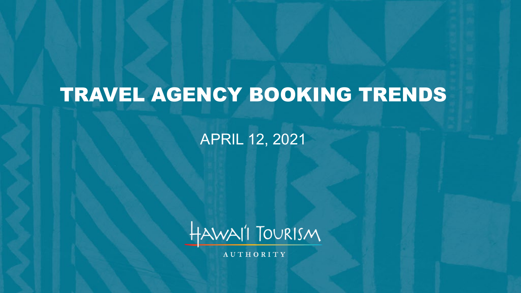# TRAVEL AGENCY BOOKING TRENDS

#### APRIL 12, 2021



**AUTHORITY**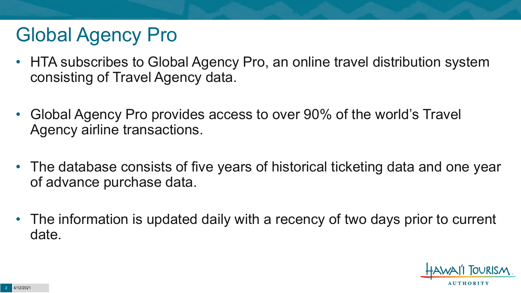## Global Agency Pro

- HTA subscribes to Global Agency Pro, an online travel distribution system consisting of Travel Agency data.
- Global Agency Pro provides access to over 90% of the world's Travel Agency airline transactions.
- The database consists of five years of historical ticketing data and one year of advance purchase data.
- The information is updated daily with a recency of two days prior to current date.

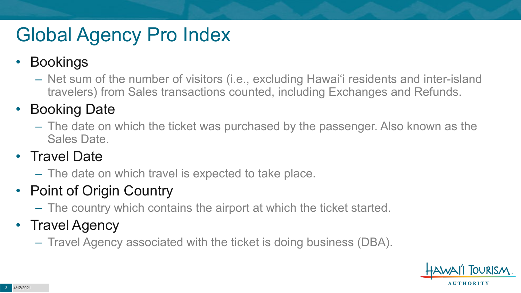# Global Agency Pro Index

#### • Bookings

– Net sum of the number of visitors (i.e., excluding Hawai'i residents and inter-island travelers) from Sales transactions counted, including Exchanges and Refunds.

#### • Booking Date

– The date on which the ticket was purchased by the passenger. Also known as the Sales Date.

#### • Travel Date

– The date on which travel is expected to take place.

#### • Point of Origin Country

– The country which contains the airport at which the ticket started.

#### • Travel Agency

– Travel Agency associated with the ticket is doing business (DBA).

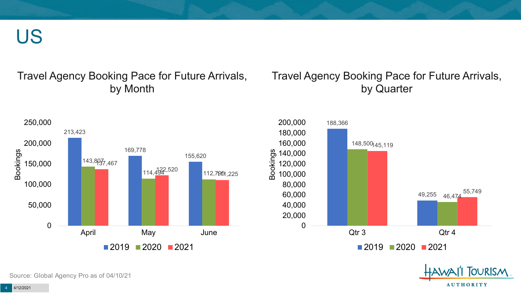US

#### Travel Agency Booking Pace for Future Arrivals, by Month

#### Travel Agency Booking Pace for Future Arrivals, by Quarter





Source: Global Agency Pro as of 04/10/21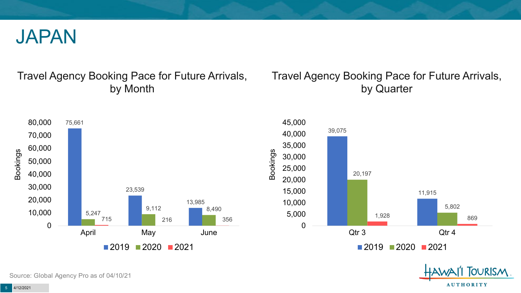

#### Travel Agency Booking Pace for Future Arrivals, by Month

#### Travel Agency Booking Pace for Future Arrivals, by Quarter







Source: Global Agency Pro as of 04/10/21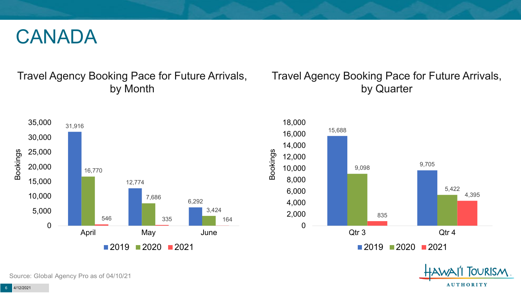#### CANADA

#### Travel Agency Booking Pace for Future Arrivals, by Month

#### Travel Agency Booking Pace for Future Arrivals, by Quarter







Source: Global Agency Pro as of 04/10/21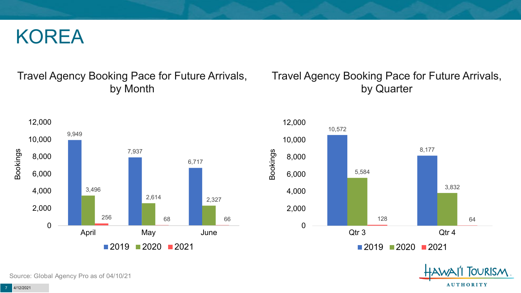#### KOREA

#### Travel Agency Booking Pace for Future Arrivals, by Month

#### 9,949 7,937 6,717 3,496 2,614 2,327 256 **68 68 66** 66 0 2,000 4,000 6,000 8,000 10,000 12,000 April May June Bookings  $2019$  2020 2021

#### Travel Agency Booking Pace for Future Arrivals, by Quarter





Source: Global Agency Pro as of 04/10/21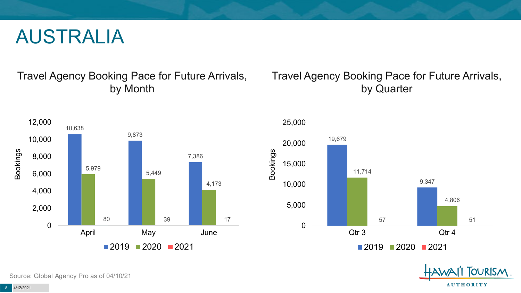#### AUSTRALIA

Travel Agency Booking Pace for Future Arrivals, by Month

#### Travel Agency Booking Pace for Future Arrivals, by Quarter







Source: Global Agency Pro as of 04/10/21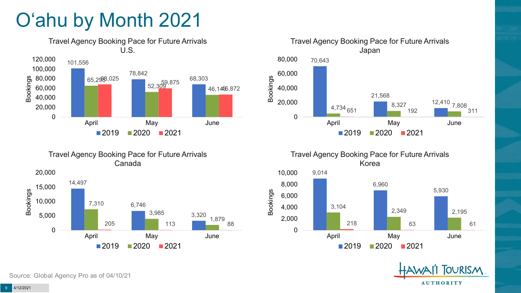# O'ahu by Month 2021





Travel Agency Booking Pace for Future Arrivals Canada



Travel Agency Booking Pace for Future Arrivals Korea



**OURISM AUTHORITY** 

Source: Global Agency Pro as of 04/10/21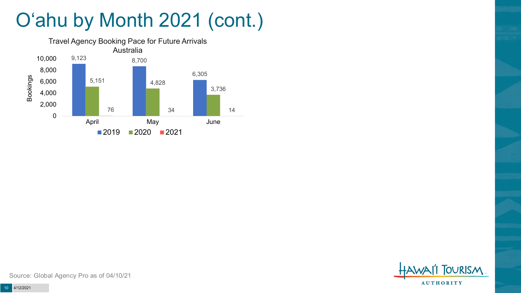# O'ahu by Month 2021 (cont.)





Source: Global Agency Pro as of 04/10/21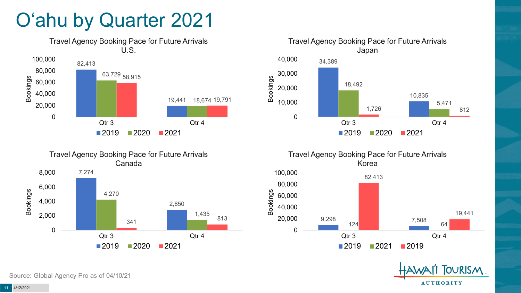### O'ahu by Quarter 2021











Source: Global Agency Pro as of 04/10/21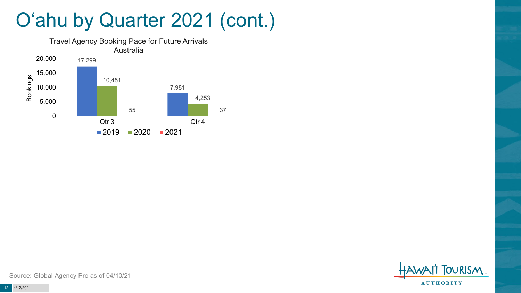### O'ahu by Quarter 2021 (cont.)





Source: Global Agency Pro as of 04/10/21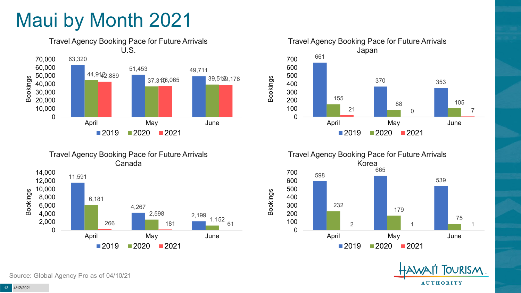### Maui by Month 2021











Source: Global Agency Pro as of 04/10/21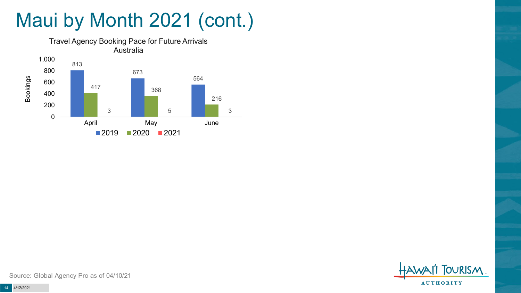# Maui by Month 2021 (cont.)





Source: Global Agency Pro as of 04/10/21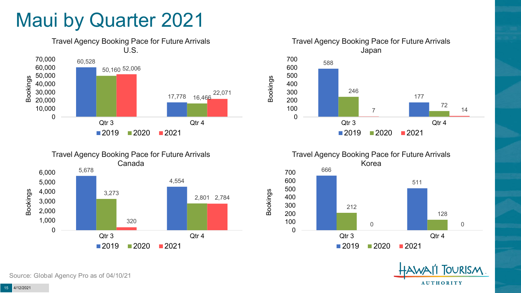#### Maui by Quarter 2021











Source: Global Agency Pro as of 04/10/21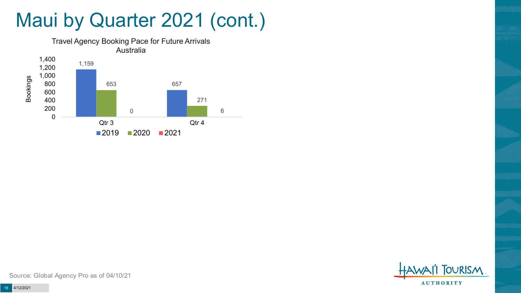### Maui by Quarter 2021 (cont.)





Source: Global Agency Pro as of 04/10/21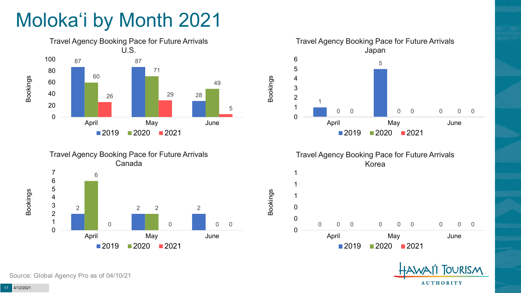# Moloka'i by Month 2021









Bookings





Source: Global Agency Pro as of 04/10/21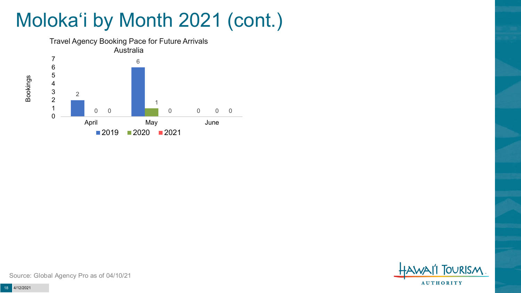# Moloka'i by Month 2021 (cont.)



**TOURISM AUTHORITY** 

Source: Global Agency Pro as of 04/10/21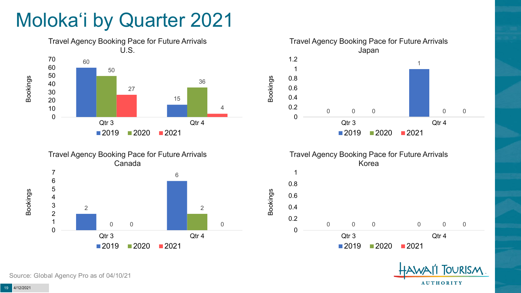### Moloka'i by Quarter 2021









Bookings



Source: Global Agency Pro as of 04/10/21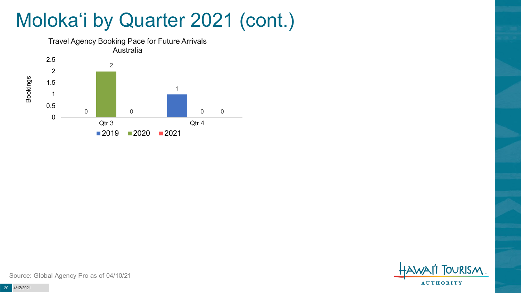### Moloka'i by Quarter 2021 (cont.)





Source: Global Agency Pro as of 04/10/21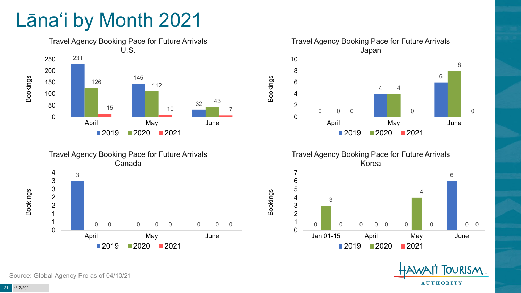### Lāna'i by Month 2021







Travel Agency Booking Pace for Future Arrivals Korea

Bookings



**OURISM AUTHORITY** 

Source: Global Agency Pro as of 04/10/21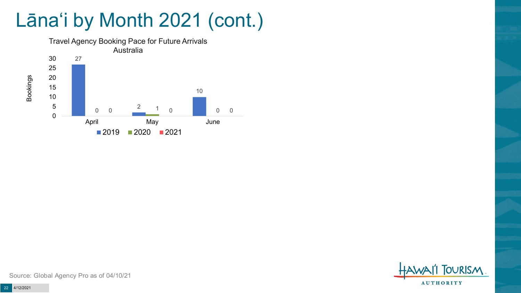### Lāna'i by Month 2021 (cont.)





Source: Global Agency Pro as of 04/10/21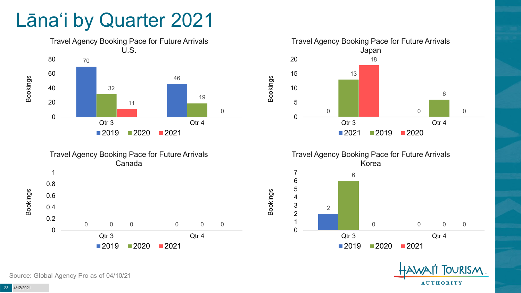#### Lāna'i by Quarter 2021











Source: Global Agency Pro as of 04/10/21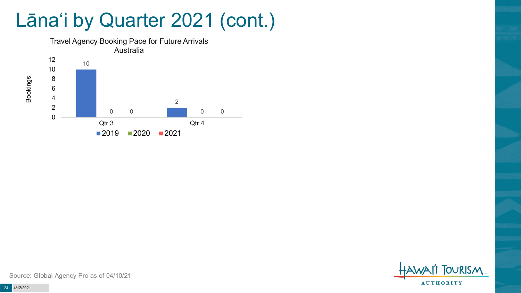#### Lāna'i by Quarter 2021 (cont.)



**TOURISM AUTHORITY** 

Source: Global Agency Pro as of 04/10/21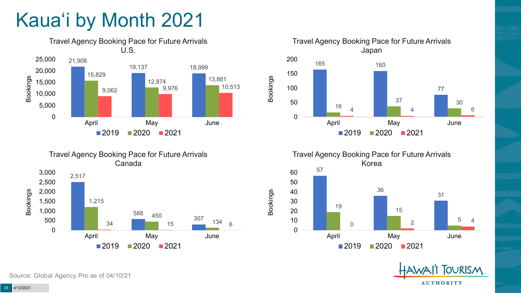# Kaua'i by Month 2021











Source: Global Agency Pro as of 04/10/21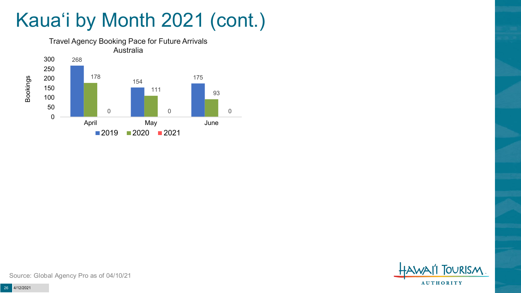## Kaua'i by Month 2021 (cont.)





Source: Global Agency Pro as of 04/10/21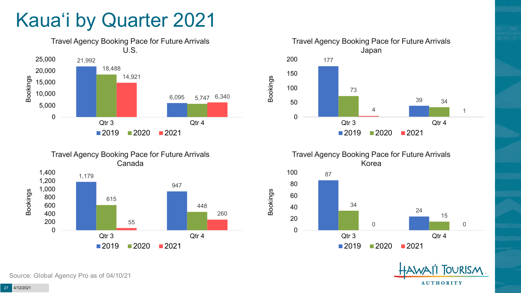### Kaua'i by Quarter 2021







Travel Agency Booking Pace for Future Arrivals Korea



Bookings

**OURISM AUTHORITY** 

Source: Global Agency Pro as of 04/10/21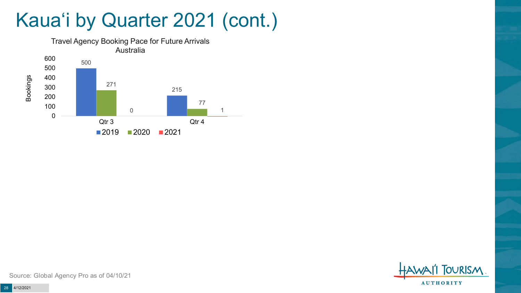### Kaua'i by Quarter 2021 (cont.)





Source: Global Agency Pro as of 04/10/21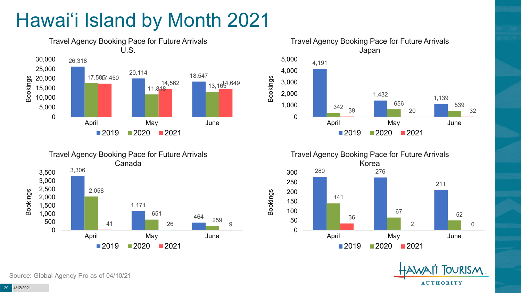# Hawai'i Island by Month 2021











Source: Global Agency Pro as of 04/10/21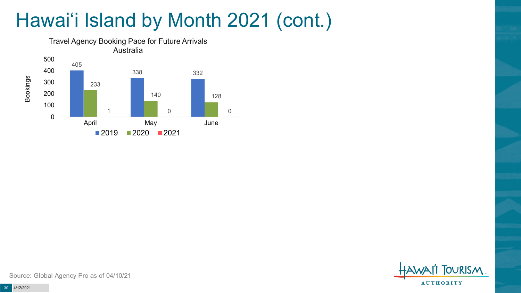# Hawai'i Island by Month 2021 (cont.)





Source: Global Agency Pro as of 04/10/21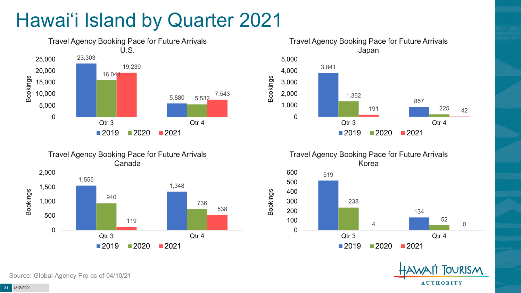### Hawai'i Island by Quarter 2021







Travel Agency Booking Pace for Future Arrivals Korea

Bookings





Source: Global Agency Pro as of 04/10/21